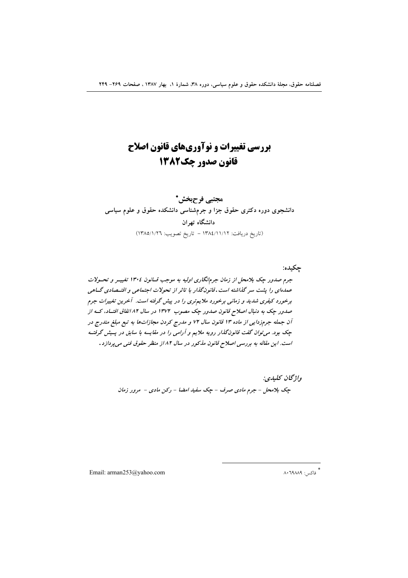# بررسی تغییرات و نوآوریهای قانون اصلاح قانون صدور چک1382

مجتبي فرحبخش\* دانشجوی دوره دکتری حقوق جزا و جرمشناسی دانشکده حقوق و علوم سیاسی دانشگاه تهران (تاريخ دريافت: ١٣٨٤/١١/١٢ - تاريخ تصويب: ١٣٨٥/١/٢٦)

جكىدە: جرم صدور چک بلامحل از زمان جرمانگاری اولیه به موجب قسانون ١٣٠٤ تغییـر و تحــولات عمدهای را پشت سر گذاشته است. قانونگذار با تاثر از تحولات اجتماعی و اقتـصادی گــاهی برخورد کیفری شدید و زمانی برخورد ملایم تری را در پیش گرفته است. آخرین تغییرات جرم صدور چک به دنبال اصلاح قانون صدور چک مصوب ۱۳۷۲ در سال ۸۲ انفاق افتـاد، کـه از آن جمله جرمزدایی از ماده ۱۳ قانون سال ۷۲ و مدرج کردن مجازاتها به تبع مبلغ مندرج در چک بود. می توان گفت قانونگذار رویه ملایم و آرامی را در مقایسه با سابق در پسش گرفت است. این مقاله به بررسی اصلاح قانون مذکور در سال ۸۲ از منظر حقوق فنی می پردازد.

> واژگان كليدي: چک بلامحل - جرم مادی صرف - چک سفید امضا - رکن مادی - مرور زمان

Email: arman253@yahoo.com

\* فاكس: ٨٠٦٩٨٨٩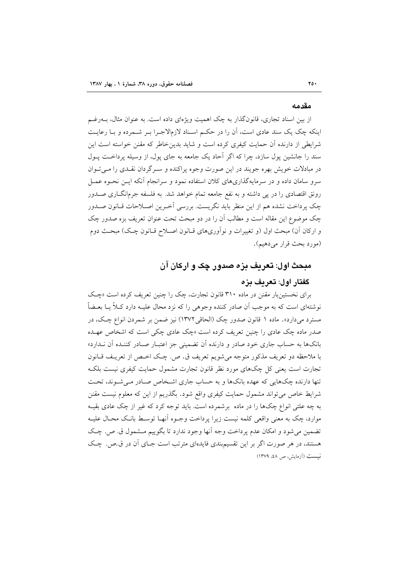#### مقدمه

از بین اسناد تجاری، قانونگذار به چک اهمیت ویژهای داده است. به عنوان مثال، بـهرغـم اینکه چک یک سند عادی است، آن را در حکم اسـناد لازمالاجـرا بـر شـمرده و بـا رعایـت شرایطی از دارنده آن حمایت کیفری کرده است و شاید بدینخاطر که مقنن خواسته است این سند را جانشین پول سازد، چرا که اگر آحاد یک جامعه به جای پول، از وسیله پرداخت پـول در مبادلات خویش بهره جویند در این صورت وجوه پراکنده و سـرگردان نقـدی را مـی تـوان سرو سامان داده و در سرمایهگذاریهای کلان استفاده نمود و سرانجام آنکه ایــن نحــوه عمــل رونق اقتصادی را در پی داشته و به نفع جامعه تمام خواهد شد. به فلسفه جرمانگــاری صــدور چک پرداخت نشده هم از این منظر باید نگریست. بررسی آخـرین اصـلاحات قـانون صـدور چک موضوع این مقاله است و مطالب آن را در دو مبحث تحت عنوان تعریف بزه صدور چک و ارکان آن) مبحث اول (و تغییرات و نوآوریهای قـانون اصـلاح قـانون چـک) مبحـث دوم (مورد بحث قرار مي دهيم).

# مبحث اول: تعریف بزه صدور چک و ارکان آن

# گفتار اول: تعريف يزه

برای نخستینبار مقنن در ماده ۳۱۰ قانون تجارت، چک را چنین تعریف کرده است «چک نوشتهای است که به موجب آن صادر کننده وجوهی را که نزد محال علیـه دارد کـلاً یــا بعــضاً مسترد مي دارد». ماده ١ قانون صدور چک (الحاقي ١٣٧٢) نيز ضمن بر شمردن انواع چـک، در صدر ماده چک عادی را چنین تعریف کرده است «چک عادی چکی است که اشخاص عهـده .<br>بانکها به حساب جاری خود صادر و دارنده آن تضمینی جز اعتبـار صـادر کننـده آن نـدارد» با ملاحظه دو تعريف مذكور متوجه مي شويم تعريف ق. ص. چـك اخـص از تعريـف قــانون تجارت است یعنی کل چکهای مورد نظر قانون تجارت مشمول حمایت کیفری نیست بلکـه تنها دارنده چکهایی که عهده بانکها و به حساب جاری اشخاص صـادر مـی شـوند، تحـت شرايط خاص مي تواند مشمول حمايت كيفري واقع شود. بگذريم از اين كه معلوم نيست مقنن به چه علتی انواع چکها را در ماده برشمرده است. باید توجه کرد که غیر از چک عادی بقیـه موارد، چک به معنی واقعی کلمه نیست زیرا پرداخت وجـوه اّنهـا توسـط بانـک محـال علیـه تضمين مي شود و امكان عدم يرداخت وجه آنها وجود ندارد تا بگوييم مــشمول ق. ص. چـك هستند، در هر صورت اگر بر این تقسیمبندی فایدهای مترتب است جـای آن در ق.ص. چـک نسبت (آزمایش، ص ٤٨، ١٣٧٩)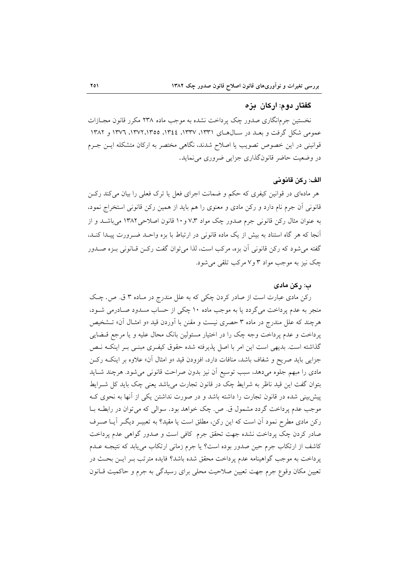# گفتار دو م: ار کان ایز ه

نخستین جرمانگاری صدور چک پرداخت نشده به موجب ماده ۲۳۸ مکرر قانون مجــازات عمومی شکل گرفت و بعـد در سـال۱هـای ۱۳۳۱، ۱۳۳۷، ۱۳۶٤، ۱۳۵۵، ۱۳۷۲، ۱۳۷۲ و ۱۳۸۲ قوانینی در این خصوص تصویب یا اصلاح شدند، نگاهی مختصر به ارکان متشکله ایـن جـرم در وضعیت حاضر قانونگذاری جزایی ضروری می نماید.

### الف: ركن قانوني

هر مادهای در قوانین کیفری که حکم و ضمانت اجرای فعل یا ترک فعلی را بیان میکند رکـن قانونی آن جرم نام دارد و رکن مادی و معنوی را هم باید از همین رکن قانونی استخراج نمود، به عنوان مثال رکن قانونی جرم صدور چک مواد ۷٬۳ و ۱۰ قانون اصلاحی ۱۳۸۲ می باشـد و از أنجا که هر گاه استناد به بیش از یک ماده قانونی در ارتباط با بزه واحـد ضـرورت پیـدا کنـد، گفته می شود که رکن قانونی آن بزه، مرکب است، لذا می توان گفت رکـن قـانونی بـزه صـدور چک نیز به موجب مواد ۳ و۷ مرکب تلقی می شود.

### ب: رکن مادی

رکن مادی عبارت است از صادر کردن چکی که به علل مندرج در مـاده ۳ ق. ص. چـک منجر به عدم پرداخت می گردد یا به موجب ماده ۱۰ چکی از حساب مسدود صـادرمی شـود، هرچند که علل مندرج در ماده ۳ حصری نیست و مقنن با آوردن قید «و امثــال آن» تــشخیص پرداخت و عدم پرداخت وجه چک را در اختیار مسئولین بانک محال علیه و یا مرجع قبضایی گذاشته است. بدیهی است این امر با اصل پذیرفته شده حقوق کیفـری مبنـی بـر اینکـه نـص جزایی باید صریح و شفاف باشد، منافات دارد، افزودن قید «و امثال آن» علاوه بر اینکـه رکــز مادی را مبهم جلوه میدهد، سبب توسیع آن نیز بدون صراحت قانونی میشود. هرچند شـاید بتوان گفت این قید ناظر به شرایط چک در قانون تجارت میباشد یعنی چک باید کل شـرایط پیش بینی شده در قانون تجارت را داشته باشد و در صورت نداشتن یکی از آنها به نحوی ک موجب عدم پرداخت گردد مشمول ق. ص. چک خواهد بود. سوالي که مي توان در رابطـه بــا رکن مادی مطرح نمود آن است که این رکن، مطلق است یا مقید؟ به تعبیـر دیگـر آیــا صـرف صادر کردن چک پرداخت نشده جهت تحقق جرم کافی است و صدور گواهی عدم پرداخت كاشف از ارتكاب جرم حين صدور بوده است؟ يا جرم زماني ارتكاب مي يابد كه نتيجـه عــدم يرداخت به موجب گواهينامه عدم يرداخت محقق شده باشد؟ فايده مترتب بـر ايــن بحــث در تعیین مکان وقوع جرم جهت تعیین صلاحیت محلی برای رسیدگی به جرم و حاکمیت قــانون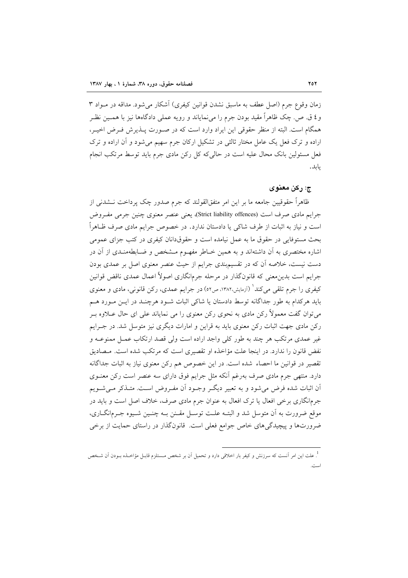زمان وقوع جرم (اصل عطف به ماسبق نشدن قوانین کیفری) آشکار می شود. مداقه در مـواد ۳ و ٤ ق. ص. چک ظاهراً مقید بودن جرم را می نمایاند و رویه عملی دادگاهها نیز با همـین نظـر همگام است. البته از منظر حقوقی این ایراد وارد است که در صـورت پــذیرش فـرض اخیــر، اراده و ترک فعل یک عامل مختار ثالثی در تشکیل ارکان جرم سهیم میشود و آن اراده و ترک فعل مسئولین بانک محال علیه است در حالی که کل رکن مادی جرم باید توسط مرتکب انجام يابد.

#### ج: رکن معنوی

ظاهراً حقوقیین جامعه ما بر این امر متفق|لقولند که جرم صدور چک پرداخت نــشدنی از جرايم مادي صرف است (Strict liability offences)، يعني عنصر معنوي چنين جرمي مفـروض است و نیاز به اثبات از طرف شاکی یا دادستان ندارد. در خصوص جرایم مادی صرف ظـاهراً بحث مستوفایی در حقوق ما به عمل نیامده است و حقوقدانان کیفری در کتب جزای عمومی اشاره مختصری به آن داشتهاند و به همین خــاطر مفهـوم مــشخص و ضــابطهمنــدی از آن در دست نیست، خلاصه آن که در تقسیمبندی جرایم از حیث عنصر معنوی اصل بر عمدی بودن جرایم است بدین معنی که قانونگذار در مرحله جرمانگاری اصولاً اعمال عمدی ناقض قوانین کیفری را جرم تلقی می کند' (آزمایش،۱۳۸۲، ص۵۲) در جرایم عمدی، رکن قانونی، مادی و معنوی باید هرکدام به طور جداگانه توسط دادستان یا شاکی اثبات شـود هرچنـد در ایـن مـورد هـم می توان گفت معمولاً رکن مادی به نحوی رکن معنوی را می نمایاند علی ای حال عــلاوه بــر رکن مادی جهت اثبات رکن معنوی باید به قراین و امارات دیگری نیز متوسل شد. در جـرایم غیر عمدی مرتکب هر چند به طور کلی واجد اراده است ولی قصد ارتکاب عمـل ممنوعـه و نفض قانون را ندارد. در اینجا علت مؤاخذه او تقصیری است که مرتکب شده است. مـصادیق تقصیر در قوانین ما احصاء شده است. در این خصوص هم رکن معنوی نیاز به اثبات جداگانه دارد. منتهی جرم مادی صرف بهرغم آنکه مثل جرایم فوق دارای سه عنصر است رکن معنــوی اّن اثبات شده فرض می شود و به تعبیر دیگـر وجـود اَن مفـروض اسـت. متـذکر مـی شـویم جرمانگاری برخی افعال یا ترک افعال به عنوان جرم مادی صرف، خلاف اصل است و باید در موقع ضرورت به آن متوسل شد و البتــه علــت توســل مقــنن بــه چنــين شــيوه جــرمانگــاري، ضرورتها و پیچیدگیهای خاص جوامع فعلی است. قانونگذار در راستای حمایت از برخی

<sup>.&</sup>lt;br><sup>1</sup>. علت این امر آنست که سرزنش و کیفر بار اخلاقی دارد و تحمیل آن بر شخص مــستلزم قابــل مؤاخــذه بــودن آن شــخص است.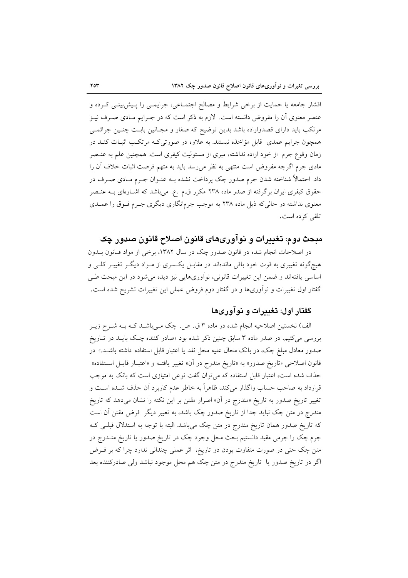اقشار جامعه یا حمایت از برخی شرایط و مصالح اجتمـاعی، جرایمـی را پـیش!پینـی کـرده و عنصر معنوی آن را مفروض دانسته است. لازم به ذکر است که در جـرایم مـادی صـرف نیـز مرتکب باید دارای قصدواراده باشد بدین توضیح که صغار و مجـانین بابـت چنـین جرائمـی همچون جرایم عمدی قابل مؤاخذه نیستند. به علاوه در صورتی کـه مرتکـب اثبـات کنـد در زمان وقوع جرم از خود اراده نداشته، مبرى از مسئوليت كيفرى است. همچنين علم به عنـصر مادی جرم اگرچه مفروض است منتهی به نظر می رسد باید به متهم فرصت اثبات خلاف آن را داد. احتمالاً شناخته شدن جرم صدور چک پرداخت نشده بــه عنــوان جــرم مــادي صــرف در حقوق کیفری ایران برگرفته از صدر ماده ۲۳۸ مکرر ق.م .ع. میباشد که اشـارهای بــه عنـصر معنوی نداشته در حالیکه ذیل ماده ۲۳۸ به موجب جرمانگاری دیگری جـرم فـوق را عمــدی تلقی کرده است.

### مبحث دوم: تغییرات و نواوریهای قانون اصلاح قانون صدور چک

در اصلاحات انجام شده در قانون صدور چک در سال ۱۳۸۲، برخی از مواد قـانون بـدون هیچگونه تغییری به قوت خود باقی ماندهاند در مقابـل یکـسری از مـواد دیگـر تغییـر کلـی و اساسی یافتهاند و ضمن این تغییرات قانونی، نوآوریهایی نیز دیده میشود در این مبحث طـی گفتار اول تغییرات و نوآوریها و در گفتار دوم فروض عملی این تغییرات تشریح شده است.

### گفتار اول: تغدرات و نوآوریها

الف) نخستین اصلاحیه انجام شده در ماده ۳ ق. ص. چک مـیباشــد کــه بــه شــرح زیــر بررسی میکنیم، در صدر ماده ۳ سابق چنین ذکر شده بود «صادر کننده چک بایـد در تـاریخ صدور معادل مبلغ چک، در بانک محال علیه محل نقد یا اعتبار قابل استفاده داشته باشـد.» در قانون اصلاحی «تاریخ صدور» به «تاریخ مندرج در آن» تغییر یافتـه و «اعتبــار قابــل اســتفاده» حذف شده است، اعتبار قابل استفاده که می توان گفت نوعی امتیازی است که بانک به موجب قرارداد به صاحب حساب واگذار میکند، ظاهراً به خاطر عدم کاربرد آن حذف شــده اســت و تغییر تاریخ صدور به تاریخ «مندرج در آن» اصرار مقنن بر این نکته را نشان میدهد که تاریخ مندرج در متن چک نباید جدا از تاریخ صدور چک باشد، به تعبیر دیگر ًفرض مقنن آن است که تاریخ صدور همان تاریخ مندرج در متن چک میباشد. البته با توجه به استدلال قبلــی کــه جرم چک را جرمی مقید دانستیم بحث محل وجود چک در تاریخ صدور یا تاریخ منــدرج در متن چک حتی در صورت متفاوت بودن دو تاریخ، اثر عملی چندانی ندارد چرا که بر فـرض اگر در تاریخ صدور یا تاریخ مندرج در متن چک هم محل موجود نباشد ولی صادرکننده بعد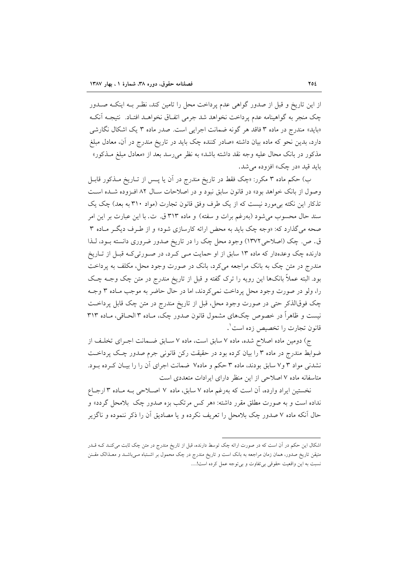از این تاریخ و قبل از صدور گواهی عدم پرداخت محل را تامین کند، نظـر بـه اینکـه صـدور چک منجر به گواهینامه عدم یرداخت نخواهد شد جرمی اتفیاق نخواهید افتیاد. نتیجیه آنک «باید» مندرج در ماده ۳ فاقد هر گونه ضمانت اجرایی است. صدر ماده ۳ یک اشکال نگارشی دارد، بدین نحو که ماده بیان داشته «صادر کننده چک باید در تاریخ مندرج در آن، معادل مبلغ مذکور در بانک محال علیه وجه نقد داشته باشد» به نظر میرسد بعد از «معادل مبلغ مــذکور» بايد قيد «در چک» افزوده مي شد.

ب) حکم ماده ۳ مکرر: «چک فقط در تاریخ مندرج در آن یا پــس از تــاریخ مــذکور قابــل وصول از بانک خواهد بود» در قانون سابق نبود و در اصلاحات سـال ۸۲ افـزوده شـده اسـت تذکار این نکته بی مورد نیست که از یک طرف وفق قانون تجارت (مواد ۳۱۰ به بعد) چک یک سند حال محسوب می شود (بهرغم برات و سفته) و ماده ۳۱۳ ق. ت. با این عبارت بر این امر صحه می گذارد که: «وجه چک باید به محض ارائه کارسازی شود» و از طـرف دیگـر مـاده ۳ ق. ص. چک (اصلاحی ۱۳۷۲) وجود محل چک را در تاریخ صدور ضروری دانسته بود، لـذا دارنده چک وعدهدار که ماده ۱۳ سابق از او حمایت مـی کـرد، در صـورتی کـه قبـل از تـاریخ مندرج در متن چک به بانک مراجعه میکرد، بانک در صورت وجود محل، مکلف به پرداخت بود. البته عملاً بانکها این رویه را ترک گفته و قبل از تاریخ مندرج در متن چک وجـه چـک را، ولو در صورت وجود محل پرداخت نمي كردند، اما در حال حاضر به موجب مـاده ٣ وجـه چک فوقالذکر حتی در صورت وجود محل، قبل از تاریخ مندرج در متن چک قابل پرداخت نیست و ظاهراً در خصوص چکهای مشمول قانون صدور چک، مـاده ۳ الحـاقی، مـاده ۳۱۳ قانون تجارت را تخصیص زده است`.

ج) دومین ماده اصلاح شده، ماده ۷ سابق است، ماده ۷ سـابق ضـمانت اجـرای تخلـف از ضوابط مندرج در ماده ۳ را بیان کرده بود در حقیقت رکن قانونی جرم صدور چک پرداخت نشدنی مواد ۳ و۷ سابق بودند، ماده ۳ حکم و ماده۷ ضمانت اجرای آن را را بیـان کـرده بـود. متاسفانه ماده ۷ اصلاحی از این منظر دارای ایرادات متعددی است

نخستین ایراد وارده، آن است که بهرغم ماده ۷ سابق، ماده ۷ اصلاحی بـه مـاده ۳ ارجـاع .<br>نداده است و به صورت مطلق مقرر داشته: «هر کس مرتکب بزه صدور چک بلامحل گردد» و حال آنکه ماده ۷ صدور چک بلامحل را تعریف نکرده و یا مصادیق آن را ذکر ننموده و ناگزیر

اشکال این حکم در آن است که در صورت ارائه چک توسط دارنده، قبل از تاریخ مندرج در متن چک ثابت میکنـد کـه قــدر متیقن تاریخ صدور، همان زمان مراجعه به بانک است و تاریخ مندرج در چک محمول بر اشــتباه مـیباشــد و معــذالک مقــنن نسبت به این واقعیت حقوقی بی تفاوت و بی توجه عمل کرده است!.....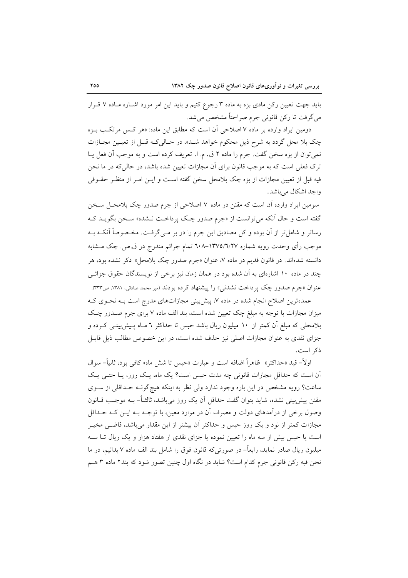باید جهت تعیین رکن مادی بزه به ماده ۳ رجوع کنیم و باید این امر مورد اشـاره مـاده ۷ قـرار مي گرفت تا رکن قانوني جرم صراحتاً مشخص مي شد.

دومین ایراد وارده بر ماده ۷ اصلاحی آن است که مطابق این ماده: «هر کس مرتکب بـزه چک بلا محل گردد به شرح ذیل محکوم خواهد شـد»، در حـالیکـه قبـل از تعیـین مجـازات نمي توان از بزه سخن گفت. جرم را ماده ٢ ق. م. ا. تعريف كرده است و به موجب آن فعل يـا ترک فعلی است که به موجب قانون برای آن مجازات تعیین شده باشد، در حالی که در ما نحن فيه قبل از تعيين مجازات از بزه چک بلامحل سخن گفته اسـت و ايــن امــر از منظــر حقــوقى واجد اشكال مي باشد.

سومین ایراد وارده آن است که مقنن در ماده ۷ اصلاحی از جرم صدور چک بلامحـل سـخن گفته است و حال آنکه میتوانست از «جرم صدور چک پرداخت نـشده» سـخن بگویــد کــه رساتر و شامل تر از آن بوده و کل مصادیق این جرم را در بر مـیگرفـت. مخـصوصاً آنکـه بـه موجب رأي وحدت رويه شماره ١٣٧٥/٦/٢٧-٦٠٨ تمام جرائم مندرج در ق.ص. چک مــشابه دانسته شدهاند. در قانون قدیم در ماده ۷، عنوان «جرم صدور چک بلامحل» ذکر نشده بود، هر چند در ماده ۱۰ اشارهای به آن شده بود در همان زمان نیز برخی از نویسندگان حقوق جزائے عنوان «جرم صدور چک پرداخت نشدنی» را پیشنهاد کرده بودند (میر محمد صادقی، ۱۳۸۱، ص۳۳۳).

عمدهترین اصلاح انجام شده در ماده ۷، پیش بینی مجازاتهای مدرج است بـه نحـوی کـه میزان مجازات با توجه به مبلغ چک تعیین شده است، بند الف ماده ۷ برای جرم صـدور چـک بلامحلی که مبلغ آن کمتر از ۱۰ میلیون ریال باشد حبس تا حداکثر ٦ مـاه پـیش:بینـی کـرده و جزای نقدی به عنوان مجازات اصلی نیز حذف شده است، در این خصوص مطالب ذیل قابـل ذكہ است.

اولاً– قيد «حداكثر» ظاهراً اضافه است و عبارت «حبس تا شش ماه» كافي بود، ثانياً– سوال آن است که حداقل مجازات قانونی چه مدت حبس است؟ یک ماه، یک روز، یـا حتـبی یـک ساعت؟ رويه مشخص در اين باره وجود ندارد ولي نظر به اينكه هيچگونـه حـداقلي از سـوى مقنن پیش بینی نشده، شاید بتوان گفت حداقل آن یک روز می باشد، ثالثــاً– بــه موجــب قــانون وصول برخی از درآمدهای دولت و مصرف آن در موارد معین، با توجـه بـه ایــن کـه حــداقل مجازات کمتر از نود و یک روز حبس و حداکثر آن بیشتر از این مقدار می باشد، قاضبی مخیــر است یا حبس بیش از سه ماه را تعیین نموده یا جزای نقدی از هفتاد هزار و یک ریال تــا ســه میلیون ریال صادر نماید، رابعاً– در صورتی که قانون فوق را شامل بند الف ماده ۷ بدانیم، در ما نحن فيه ركن قانوني جرم كدام است؟ شايد در نگاه اول چنين تصور شود كه بند٢ ماده ٣ هـم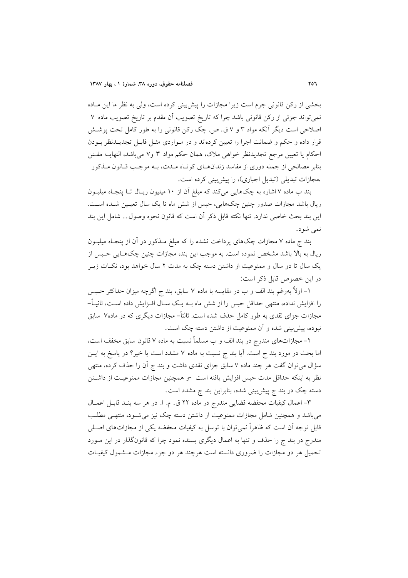بخشی از رکن قانونی جرم است زیرا مجازات را پیش بینی کرده است، ولی به نظر ما این مـاده نمي تواند جزئي از رکن قانوني باشد چرا که تاريخ تصويب اَن مقدم بر تاريخ تصويب ماده ۷ اصلاحی است دیگر آنکه مواد ۳ و ۷ ق. ص. چک رکن قانونی را به طور کامل تحت پوشــش قرار داده و حکم و ضمانت اجرا را تعیین کردهاند و در مـواردی مثـل قابـل تجدیـدنظر بـودن احکام یا تعیین مرجع تجدیدنظر خواهی ملاک، همان حکم مواد ۳ و۷ میباشد، النهایــه مقــنن بنابر مصالحی از جمله دوری از مفاسد زندانهـای کوتـاه مـدت، بـه موجـب قـانون مـذکور .مجازات تبدیلی (تبدیل اجباری)، را پیش بینی کرده است.

بند ب ماده ۷ اشاره به چکهایی میکند که مبلغ آن از ۱۰ میلیون ریـال تـا پنجـاه میلیـون ریال باشد مجازات صدور چنین چکهایی، حبس از شش ماه تا یک سال تعیـین شـده اسـت. این بند بحث خاصی ندارد. تنها نکته قابل ذکر آن است که قانون نحوه وصول.... شامل این بند نمې شود.

بند ج ماده ۷ مجازات چکهای پرداخت نشده را که مبلغ مــذکور در آن از پنجــاه میلیــون ريال به بالا باشد مشخص نموده است. به موجب اين بند، مجازات چنين چکهـايي حـبس از یک سال تا دو سال و ممنوعیت از داشتن دسته چک به مدت ۲ سال خواهد بود، نکـات زیــر در اين خصوص قابل ذكر است:

۱– اولاً بهرغم بند الف و ب در مقايسه با ماده ۷ سابق، بند ج اگرچه ميزان حداكثر حـبس را افزایش نداده، منتهی حداقل حبس را از شش ماه بــه یــک ســال افــزایش داده اســت، ثانیــاً– مجازات جزای نقدی به طور کامل حذف شده است. ثالثاً– مجازات دیگری که در ماده۷ سابق نبوده، پیش بینی شده و آن ممنوعیت از داشتن دسته چک است.

۲– مجازاتهای مندرج در بند الف و ب مسلماً نسبت به ماده ۷ قانون سابق مخفف است، اما بحث در مورد بند ج است. آیا بند ج نسبت به ماده ۷ مشدد است یا خیر؟ در پاسخ به ایــن سؤال میتوان گفت هر چند ماده ۷ سابق جزای نقدی داشت و بند ج آن را حذف کرده، منتهی نظر به اینکه حداقل مدت حبس افزایش یافته است -و همچنین مجازات ممنوعیت از داشتن دسته چک در بند ج پیشبینی شده، بنابراین بند ج مشدد است.

٣- اعمال كيفيات محفضه قضايي مندرج در ماده ٢٢ ق. م. ا. در هر سه بنـد قابـل اعمـال میباشد و همچنین شامل مجازات ممنوعیت از داشتن دسته چک نیز می شـود، منتهـی مطلـب قابل توجه آن است که ظاهراً نمیٍتوان با توسل به کیفیات محفضه یکی از مجازاتهای اصـلی مندرج در بند ج را حذف و تنها به اعمال دیگری بسنده نمود چرا که قانونگذار در این مـورد تحمیل هر دو مجازات را ضروری دانسته است هرچند هر دو جزء مجازات مـشمول کیفیـات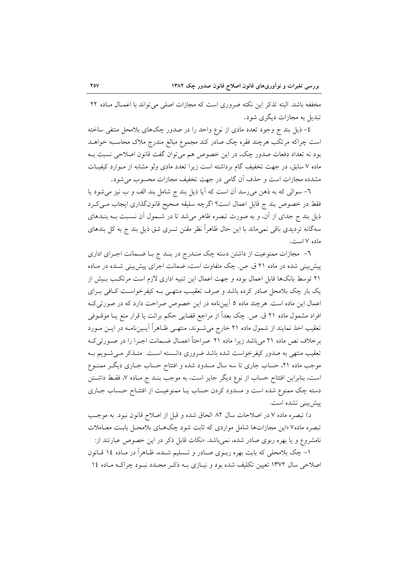مخففه باشد. البته تذکر این نکته ضروری است که مجازات اصلی می تواند با اعمـال مـاده ۲۲ تبدیل به مجازات دیگری شود.

٤– ذيل بند ج وجود تعدد مادى از نوع واحد را در صدور چکهاى بلامحل منتفى ساخته است چراکه مرتکب هرچند فقره چک صادر کند مجموع مبالغ مندرج ملاک محاسـبه خواهــد بود نه تعداد دفعات صدور چک، در این خصوص هم میتوان گفت قانون اصلاحی نسبت بـه ماده ۷ سابق، در جهت تخفیف گام برداشته است زیرا تعدد مادی ولو مشابه از مـوارد کیفیـات مشدده مجازات است و حذف آن گامی در جهت تخفیف مجازات محسوب می شود.

٦- سوالي كه به ذهن مي رسد آن است كه آيا ذيل بند ج شامل بند الف و ب نيز مي شود يا فقط در خصوص بند ج قابل اعمال است؟ اگرچه سلیقه صحیح قانونگذاری ایجاب مـیکـرد ذیل بند ج جدای از آن، و به صورت تبصره ظاهر می شد تا در شـمول آن نـسبت بــه بنــدهای سهگانه تردیدی باقی نمیماند با این حال ظاهراً نظر مقنن تسری شق ذیل بند ج به کل بندهای ماده ۷ است.

٦- مجازات ممنوعیت از داشتن دسته چک منـدرج در بنـد ج بـا ضـمانت اجـرای اداری پیش بینی شده در ماده ۲۱ ق. ص. چک متفاوت است، ضمانت اجرای پیش بینی شـده در مـاده ۲۱ توسط بانکها قابل اعمال بوده و جهت اعمال این تنبیه اداری لازم است مرتکب بـیش از یک بار چک بلامحل صادر کرده باشد و صرف تعقیب منتهـی بـه کیفرخواسـت کـافی بـرای اعمال این ماده است. هرچند ماده ٥ آییننامه در این خصوص صراحت دارد که در صورتی ک افراد مشمول ماده ۲۱ ق. ص. چک بعداً از مراجع قضایی حکم برائت یا قرار منع یـا موقــوفی تعقیب اخذ نمایند از شمول ماده ۲۱ خارج میشوند، منتهـی ظـاهراً آیـینiامـه در ایــن مــورد برخلاف نص ماده ۲۱ میباشد زیرا ماده ۲۱ صراحتاً اعمـال ضـمانت اجـرا را در صـورتیکـه تعقیب منتهی به صدور کیفرخواست شده باشد ضروری دانسته است. متـذکر مـی شـویم بـه موجب ماده ۲۱، حساب جاری تا سه سال مسدود شده و افتتاح حساب جـاری دیگـر ممنــوع است، بنابراین افتتاح حساب از نوع دیگر جایز است، به موجب بنـد ج مـاده ۷، فقـط داشـتن دسته چک ممنوع شده است و مسدود کردن حساب یـا ممنوعیـت از افتتـاح حـساب جــاری ييش بيني نشده است.

د) تبصره ماده ۷ در اصلاحات سال ۸۲ الحاق شده و قبل از اصلاح قانون نبود. به موجب تبصره ماده۷ «این مجازاتها شامل مواردی که ثابت شود چکهـای بلامحـل بابـت معـاملات نامشروع و یا بهره ربوی صادر شده، نمی باشد. «نکات قابل ذکر در این خصوص عبارتند از: ۱– چک بلامحلی که بابت بهره ربـوی صـادر و تـسلیم شـده، ظـاهراً در مـاده ۱۶ قـانون

اصلاحی سال ۱۳۷۲ تعیین تکلیف شده بود و نیـازی بـه ذکـر مجـدد نبـود چراکـه مـاده ۱٤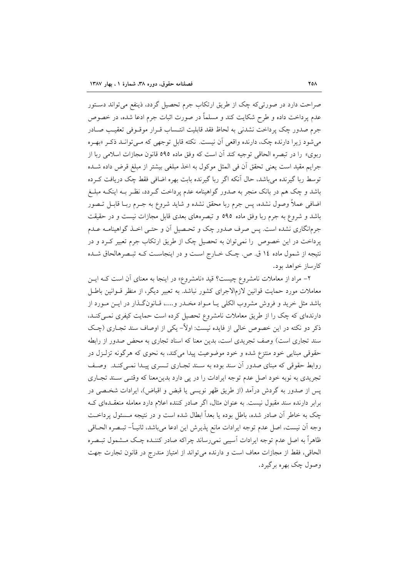صراحت دارد در صورتی که چک از طریق ارتکاب جرم تحصیل گردد، ذینفع می تواند دستور عدم پرداخت داده و طرح شکایت کند و مسلماً در صورت اثبات جرم ادعا شده، در خصوص جرم صدور چک پرداخت نشدنی به لحاظ فقد قابلیت انتـساب قـرار موقـوفی تعقیـب صـادر می شود زیرا دارنده چک، دارنده واقعی آن نیست. نکته قابل توجهی که مـیتوانــد ذکـر «بهـره ربوي» را در تبصره الحاقي توجيه كند أن است كه وفق ماده ٥٩٥ قانون مجازات اسلامي ربا از جرايم مقيد است يعني تحقق أن في المثل موكول به اخذ مبلغي بيشتر از مبلغ قرض داده شـده توسط ربا گیرنده می باشد، حال آنکه اگر ربا گیرنده بابت بهره اضافی فقط چک دریافت کـرده باشد و چک هم در بانک منجر به صدور گواهینامه عدم پرداخت گـردد، نظـر بـه اینکـه مبلـغ اضافی عملاً وصول نشده، پس جرم ربا محقق نشده و شاید شروع به جـرم ربــا قابــل تــصور باشد و شروع به جرم ربا وفق ماده ٥٩٥ و تبصرههای بعدی قابل مجازات نیست و در حقیقت جرمانگاری نشده است. پس صرف صدور چک و تحـصیل اَن و حتـی اخــذ گواهینامــه عــدم پرداخت در این خصوص را نمی توان به تحصیل چک از طریق ارتکاب جرم تعبیر کـرد و در نتیجه از شمول ماده ۱٤ ق. ص. چک خــارج اســت و در اینجاسـت کــه تبــصرهالحاق شــده کارساز خواهد بود.

۲- مراد از معاملات نامشروع چیست؟ قید «نامشروع» در اینجا به معنای آن است کـه ایـن معاملات مورد حمایت قوانین لازمالاجرای کشور نباشد. به تعبیر دیگر، از منظر قــوانین باطــل باشد مثل خرید و فروش مشروب الکلی یـا مـواد مخـدر و....، قـانونگـذار در ایــن مــورد از دارندهای که چک را از طریق معاملات نامشروع تحصیل کرده است حمایت کیفری نمبی کنـد. ذکر دو نکته در این خصوص خالی از فایده نیست: اولاً– یکی از اوصاف سند تجـاری (چـک سند تجاری است) وصف تجریدی است، بدین معنا که اسناد تجاری به محض صدور از رابطه حقوقي مبنايي خود منتزع شده و خود موضوعيت پيدا مي كند، به نحوي كه هرگونه تزلـزل در روابط حقوقی که مبنای صدور آن سند بوده به سـند تجـاری تـسری پیـدا نمـی کنـد. وصـف تجریدی به نوبه خود اصل عدم توجه ایرادات را در پی دارد بدینمعنا که وقتـی سـند تجـاری يس از صدور به گردش درآمد (از طريق ظهر نويسي يا قبض و اقباض)، ايرادات شخـصي در برابر دارنده سند مقبول نیست. به عنوان مثال، اگر صادر کننده اعلام دارد معامله منعقـدهای کـه چک به خاطر آن صادر شده، باطل بوده یا بعداً ابطال شده است و در نتیجه مـسئول پرداخـت وجه أن نيست، اصل عدم توجه ايرادات مانع پذيرش اين ادعا ميباشد، ثانيــاً– تبــصره الحــاقي ظاهراً به اصل عدم توجه ایرادات آسیبی نمی رساند چراکه صادر کننـده چـک مــشمول تبــصره الحاقي، فقط از مجازات معاف است و دارنده مي تواند از امتياز مندرج در قانون تجارت جهت وصول چک بھرہ برگیرد.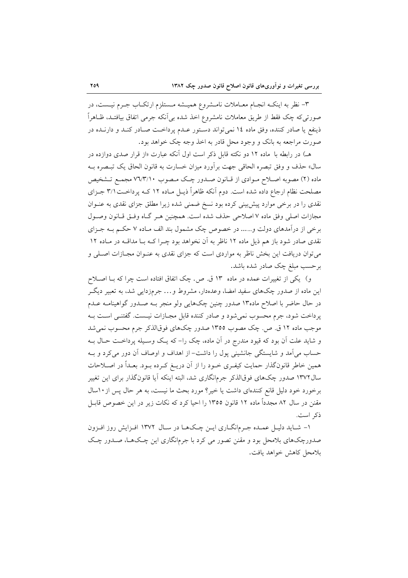۳- نظر به اینکـه انجـام معــاملات نامــشروع همیــشه مــستلزم ارتکــاب جــرم نیــست، در صورتي كه چک فقط از طريق معاملات نامشروع اخذ شده بي اّنکه جرمي اتفاق بيافتـد، ظــاهراً ذینفع یا صادر کننده، وفق ماده ۱۶ نمیتواند دستور عـدم پرداخـت صـادر کنـد و دارنــده در صورت مراجعه به بانک و وجود محل قادر به اخذ وجه چک خواهد بود.

هـ) در رابطه با ماده ۱۲ دو نکته قابل ذکر است اول آنکه عبارت «از قرار صدی دوازده در سال» حذف و وفق تبصره الحاقي جهت برأورد ميزان خسارت به قانون الحاق يک تبـصره بــه ماده (۲) مصوبه اصلاح مـوادي از قـانون صـدور چـک مـصوب ۷٦/٣/۱۰ مجمـع تـشخيص مصلحت نظام ارجاع داده شده است. دوم آنکه ظاهراً ذیـل مـاده ۱۲ کـه پرداخـت۲/۱ جـزای نقدی را در برخی موارد پیش بینی کرده بود نسخ ضمنی شده زیرا مطلق جزای نقدی به عنـوان مجازات اصلي وفق ماده ٧ اصلاحي حذف شده است. همچنين هـر گـاه وفـق قـانون وصـول برخی از درآمدهای دولت و…… در خصوص چک مشمول بند الف مـاده ۷ حکـم بــه جــزای نقدی صادر شود باز هم ذیل ماده ۱۲ ناظر به آن نخواهد بود چــرا کــه بــا مداقــه در مــاده ۱۲ می توان دریافت این بخش ناظر به مواردی است که جزای نقدی به عنـوان مجـازات اصـلی و برحسب مبلغ چک صادر شده باشد.

و) یکی از تغییرات عمده در ماده ۱۳ ق. ص. چک اتفاق افتاده است چرا که بـا اصـلاح این ماده از صدور چکهای سفید امضا، وعدهدار، مشروط و… جرمزدایی شد، به تعبیر دیگـر در حال حاضر با اصلاح ماده۱۳ صدور چنین چکهایی ولو منجر بـه صـدور گواهینامـه عـدم يرداخت شود، جرم محسوب نمي شود و صادر كننده قابل مجــازات نيــست. گفتنــي اســت بــه موجب ماده ۱۲ ق ص. چک مصوب ۱۳۵۵ صدور چکهای فوقالذکر جرم محسوب نمی شد و شاید علت اّن بود که قیود مندرج در اّن ماده، چک را– که یـک وسـیله پرداخـت حـال بـه حساب می آمد و شایستگی جانشینی پول را داشت- از اهداف و اوصاف آن دور می کرد و بـه همین خاطر قانونگذار حمایت کیفـری خـود را از آن دریـغ کـرده بـود. بعـداً در اصـلاحات سال۱۳۷۲ صدور چکهای فوقالذکر جرمانگاری شد، البته اینکه آیا قانونگذار برای این تغییر برخورد خود دلیل قانع کنندهای داشت یا خیر؟ مورد بحث ما نیست، به هر حال پس از ۱۰سال مقنن در سال ۸۲ مجدداً ماده ۱۲ قانون ۱۳۵۵ را احیا کرد که نکات زیر در این خصوص قابـل ذكر است.

۱- شـايد دليـل عمـده جـرمانگـاري ايـن چـكـهـا در سـال ۱۳۷۲ افـزايش روز افـزون صدورچکهای بلامحل بود و مقنن تصور می کرد با جرمانگاری این چـکـهـا، صــدور چـک بلامحل كاهش خواهد يافت.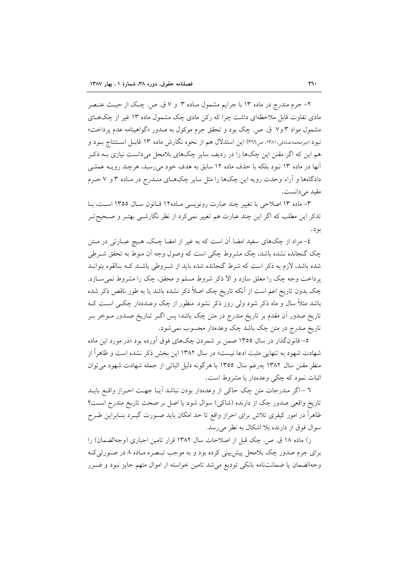۲- جرم مندرج در ماده ۱۳ با جرایم مشمول مـاده ۳ و ۷ ق. ص. چـک از حیـث عنـصر مادی تفاوت قابل ملاحظهای داشت چرا که رکن مادی چک مشمول ماده ۱۳ غیر از چکهـای مشمول مواد ۳ و۷ ق. ص. چک بود و تحقق جرم موکول به صدور «گواهینامه عدم پرداخت» نبود (میرمحمدصادقی،۱۳۸۱، ص۳۱٦) این استدلال هم از نحوه نگارش ماده ۱۳ قابـل اسـتنتاج بــود و هم این که اگر مقنن این چکها را در ردیف سایر چکهای بلامحل میدانست نیازی بــه ذکـر آنها در ماده ۱۳ نبود بلکه با حذف ماده ۱۲ سابق به هدف خود میررسید، هرچند رویــه عملـی دادگاهها و آراء وحدت رویه این چکها را مثل سایر چکهـای منــدرج در مـاده ۳ و ۷ جــرم مقيد مي دانست.

٣- ماده ١٣ اصلاحي با تغيير چند عبارت رونويسي مـاده١٢ قـانون سـال ١٣٥٥ اسـت، بـا تذکر این مطلب که اگر این چند عبارت هم تغییر نمی کرد از نظر نگارشــی بهتـر و صـحیح تـر بو د .

٤- مراد از چکهای سفید امضا آن است که به غیر از امضا چک، هـیچ عبـارتی در مـتن چک گنجانده نشده باشد، چک مشروط چکی است که وصول وجه آن منوط به تحقق شـرطی شده باشد، لازم به ذکر است که شرط گنجانده شده باید از شـروطی باشـد کـه بـالقوه بتوانـد پرداخت وجه چک را معلق سازد و الا ذکر شروط مسلم و محقق، چک را مشروط نمی سازد. چک بدون تاریخ اعم است از اَنکه تاریخ چک اصلاً ذکر نشده باشد یا به طور ناقص ذکر شده باشد مثلاً سال و ماه ذکر شود ولی روز ذکر نشود. منظور از چک وعـدهدار چکــی اســت کــه تاریخ صدور آن مقدم بر تاریخ مندرج در متن چک باشد؛ پس اگـر تــاریخ صــدور مــوخر بــر تاريخ مندرج در متن چک باشد چک وعدهدار محسوب نمي شود.

0– قانونگذار در سال ۱۳۵۵ ضمن بر شمردن چکهای فوق آورده بود «در مورد این ماده شهادت شهود به تنهایی مثبت ادعا نیست» در سال ۱۳۸۲ این بخش ذکر نشده است و ظاهراً از منظر مقنن سال ۱۳۸۲ بهرغم سال ۱۳۵۵ با هرگونه دلیل اثباتی از جمله شهادت شهود می توان اثبات نمود که چکی وعدهدار یا مشروط است.

٦ –اگر مندرجات متن چک حاکی از وعدهدار بودن نباشد آیـا جهـت احـراز واقـع بايــد تاريخ واقعي صدور چک از دارنده (شاکي) سوال شود يا اصل بر صحت تاريخ مندرج است؟ ظاهراً در امور کیفری تلاش برای احراز واقع تا حد امکان باید صـورت گیــرد بنــابراین طــرح سوال فوق از دارنده بلا اشکال به نظر می رسد.

ز) ماده ۱۸ ق ص. چک قبل از اصلاحات سال ۱۳۸۲ قرار تامین اجباری (وجهالضمان) را برای جرم صدور چک بلامحل پیشبینی کرده بود و به موجب تبـصره مـاده ۸ در صـورتیکـه وجهالضمان يا ضمانتنامه بانكى توديع مى شد تامين خواسته از اموال متهم جايز نبود و ضـرر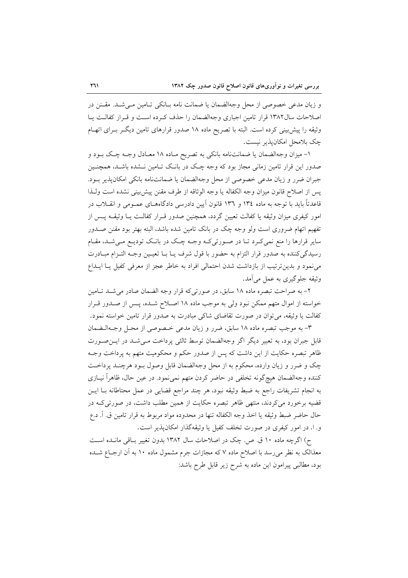و زيان مدعى خصوصى از محل وجهالضمان يا ضمانت نامه بـانكى تـامين مـى شـد. مقـنن در اصلاحات سال۱۳۸۲ قرار تامین اجباری وجهالضمان را حذف کرده است و قرار کفالت پیا وثیقه را پیش بینی کرده است. البته با تصریح ماده ۱۸ صدور قرارهای تامین دیگـر بـرای اتهـام چک بلامحل امکان پذیر نیست.

۱- میزان وجهالضمان یا ضمانتنامه بانکی به تصریح مـاده ۱۸ معـادل وجـه چـک بـود و صدور این قرار تامین زمانی مجاز بود که وجه چک در بانک تـامین نـشده باشـد، همچنـین جبران ضرر و زيان مدعى خصوصى از محل وجهالضمان يا ضمانتنامه بانكى امكان يذير بـود. پس از اصلاح قانون میزان وجه الکفاله یا وجه الوثاقه از طرف مقنن پیش بینی نشده است ولـذا قاعدتاً باید با توجه به ماده ۱۳۶ و ۱۳۳ قانون اَیین دادرسی دادگاههــای عمــومی و انقــلاب در امور کیفری میزان وثیقه یا کفالت تعیین گردد، همچنین صدور قـرار کفالـت یــا وثیقــه یــس از تفهیم اتهام ضروری است ولو وجه چک در بانک تامین شده باشد، البته بهتر بود مقنن صـدور سایر قرارها را منع نمیکرد تـا در صـورتیکـه وجـه چـک در بانـک تودیـع مـیشـد، مقـام رسيدگي كننده به صدور قرار التزام به حضور با قول شرف يـا بــا تعيـين وجــه التـزام مبــادرت می نمود و بدین ترتیب از بازداشت شدن احتمالی افراد به خاطر عجز از معرفی کفیل یـا ایـداع وثيقه جلوگيري به عمل مي آمد.

۲- به صراحت تبصره ماده ۱۸ سابق، در صورتی که قرار وجه الضمان صادر می شـد تـامین خواسته از اموال متهم ممکن نبود ولی به موجب ماده ۱۸ اصلاح شـده، پـس از صـدور قـرار کفالت یا وثیقه، می توان در صورت تقاضای شاکی مبادرت به صدور قرار تامین خواسته نمود.

٣- به موجب تبصره ماده ١٨ سابق، ضرر و زيان مدعى خصوصي از محـل وجــهالــضمان قابل جبران بود، به تعبیر دیگر اگر وجهالضمان توسط ثالثی پرداخت مـیشـد در ایـن۰صـورت ظاهر تبصره حکایت از این داشت که پس از صدور حکم و محکومیت متهم به پرداخت وجـه چک و ضرر و زيان وارده، محکوم به از محل وجهالضمان قابل وصول بـود هرچنـد پرداخـت کننده وجهالضمان هیچگونه تخلفی در حاضر کردن متهم نمیٖنمود. در عین حال، ظاهراً نیــازی به انجام تشریفات راجع به ضبط وثیقه نبود، هر چند مراجع قضایی در عمل محتاطانه بــا ایــن قضیه برخورد می کردند، منتهی ظاهر تبصره حکایت از همین مطلب داشت، در صورتی کـه در حال حاضر ضبط وثيقه يا اخذ وجه الكفاله تنها در محدوده مواد مربوط به قرار تامين ق. آ. د.ع و. ا. در امور کیفری در صورت تخلف کفیل یا وثیقهگذار امکانپذیر است.

ح) اگرچه ماده ۱۰ ق ص. چک در اصلاحات سال ۱۳۸۲ بدون تغییر باقی مانـده اسـت معذالک به نظر می رسد با اصلاح ماده ۷ که مجازات جرم مشمول ماده ۱۰ به آن ارجــاع شــده بود، مطالبي پيرامون اين ماده به شرح زير قابل طرح باشد: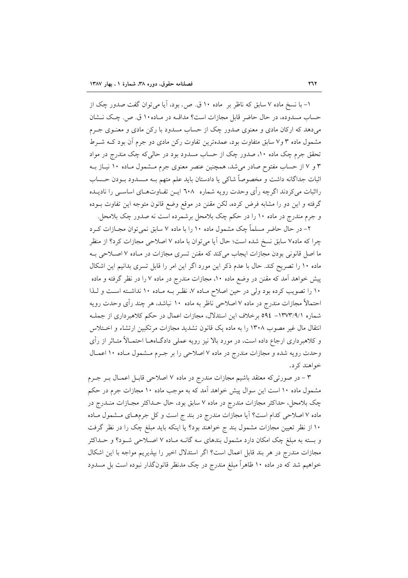۱– با نسخ ماده ۷ سابق که ناظر بر ِ ماده ۱۰ ق. ص. بود، آیا میٍ توان گفت صدور چک از حساب مسدوده، در حال حاضر قابل مجازات است؟ مداقــه در مــاده ١٠ ق. ص. چــک نــشان میدهد که ارکان مادی و معنوی صدور چک از حساب مسدود با رکن مادی و معنــوی جــرم مشمول ماده ۳ و۷ سابق متفاوت بود، عمدهترین تفاوت رکن مادی دو جرم آن بود کـه شــرط تحقق جرم چک ماده ۱۰، صدور چک از حساب مسدود بود در حالی که چک مندرج در مواد ۳ و ۷ از حساب مفتوح صادر میشد، همچنین عنصر معنوی جرم مـشمول مـاده ۱۰ نیـاز بـه اثبات جداگانه داشت و مخصوصاً شاکی یا دادستان باید علم متهم بــه مــسدود بــودن حــساب رااثبات می کردند اگرچه رأی وحدت رویه شماره ۲۰۸ ایــن تفــاوتهــای اساســی را نادیــده گرفته و این دو را مشابه فرض کرده، لکن مقنن در موقع وضع قانون متوجه این تفاوت بــوده و جرم مندرج در ماده ۱۰ را در حکم چک بلامحل برشمرده است نه صدور چک بلامحل.

۲– در حال حاضر مسلماً چک مشمول ماده ۱۰ را با ماده ۷ سابق نمی توان مجــازات کــرد چرا که ماده۷ سابق نسخ شده است؛ حال آیا میتوان با ماده ۷ اصلاحی مجازات کرد؟ از منظر ما اصل قانونی بودن مجازات ایجاب میکند که مقنن تسری مجازات در مـاده ۷ اصـلاحی بـه ماده ۱۰ را تصریح کند. حال با عدم ذکر این مورد اگر این امر را قابل تسری بدانیم این اشکال پیش خواهد آمد که مقنن در وضع ماده ۱۰، مجازات مندرج در ماده ۷ را در نظر گرفته و ماده ۱۰ را تصویب کرده بود ولی در حین اصلاح مـاده ۷، نظـر بـه مـاده ۱۰ نداشـته اسـت و لـذا احتمالاً مجازات مندرج در ماده ۷ اصلاحی ناظر به ماده ۱۰ نباشد، هر چند رأی وحدت رویه شماره ۰/۳۷۳/۹/۱ ـ ۵۹٤ برخلاف این استدلال، مجازات اعمال در حکم کلاهبرداری از جملـه انتقال مال غیر مصوب ۱۳۰۸ را به ماده یک قانون تشدید مجازات مرتکبین ارتشاء و اختلاس و کلاهبرداری ارجاع داده است، در مورد بالا نیز رویه عملی دادگــاهــا احتمــالأ متــاثر از رأی وحدت رویه شده و مجازات مندرج در ماده ۷ اصلاحی را بر جـرم مـشمول مـاده ۱۰ اعمـال خواهند کر د.

۳ – در صورتیکه معتقد باشیم مجازات مندرج در ماده ۷ اصلاحی قابـل اعمـال بـر جـرم مشمول ماده ۱۰ است این سوال پیش خواهد آمد که به موجب ماده ۱۰ مجازات جرم در حکم چک بلامحل، حداکثر مجازات مندرج در ماده ۷ سابق بود، حال حـداکثر مجـازات منــدرج در ماده ۷ اصلاحی کدام است؟ آیا مجازات مندرج در بند ج است و کل جرمهـای مــشمول مــاده ۱۰ از نظر تعیین مجازات مشمول بند ج خواهند بود؟ یا اینکه باید مبلغ چک را در نظر گرفت و بسته به مبلغ چک امکان دارد مشمول بندهای سه گانـه مـاده ۷ اصـلاحی شـود؟ و حــداکثر مجازات مندرج در هر بند قابل اعمال است؟ اگر استدلال اخیر را بپذیریم مواجه با این اشکال خواهیم شد که در ماده ۱۰ ظاهراً مبلغ مندرج در چک مدنظر قانونگذار نبوده است بل مسدود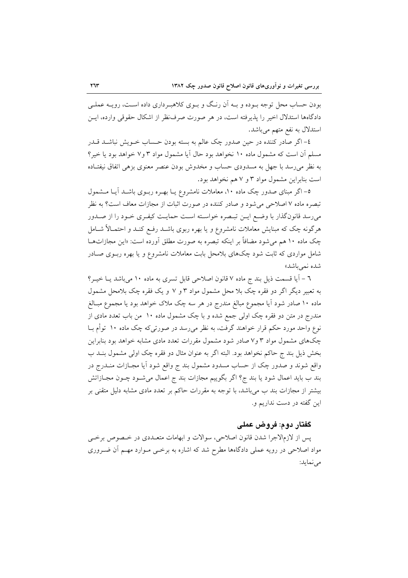بودن حساب محل توجه بــوده و بــه اَن رنــگ و بــوى كلاهبــردارى داده اســت، رويــه عملــي دادگاهها استدلال اخیر را پذیرفته است، در هر صورت صرف نظر از اشکال حقوقی وارده، ایس استدلال به نفع متهم میباشد.

٤– اگر صادر کننده در حین صدور چک عالم به بسته بودن حـساب خــویش نباشــد قــدر مسلم آن است که مشمول ماده ۱۰ نخواهد بود حال آیا مشمول مواد ۳ و۷ خواهد بود یا خیر؟ به نظر می رسد با جهل به مسدودی حساب و مخدوش بودن عنصر معنوی بزهی اتفاق نیفتـاده است بنابراین مشمول مواد ۳ و ۷ هم نخواهد بود.

٥– اگر مبنای صدور چک ماده ١٠، معاملات نامشروع یـا بهـره ربـوی باشـد آیـا مــشمول تبصره ماده ۷ اصلاحی میشود و صادر کننده در صورت اثبات از مجازات معاف است؟ به نظر می رسد قانونگذار با وضع ایــن تبـصره خواسـته اسـت حمایـت کیفـری خـود را از صــدور هرگونه چک که مبنایش معاملات نامشروع و یا بهره ربوی باشــد رفــع کنــد و احتمــالاً شــامل چک ماده ۱۰ هم می شود مضافاً بر اینکه تبصره به صورت مطلق آورده است: «این مجازاتهـا شامل مواردی که ثابت شود چکهای بلامحل بابت معاملات نامشروع و یا بهره ربـوی صـادر شده نمي باشد»

٦ – آیا قسمت ذیل بند ج ماده ٧ قانون اصلاحی قابل تسری به ماده ١٠ میباشد یـا خیـر؟ به تعبیر دیگر اگر دو فقره چک بلا محل مشمول مواد ۳ و ۷ و یک فقره چک بلامحل مشمول ماده ۱۰ صادر شود آیا مجموع مبالغ مندرج در هر سه چک ملاک خواهد بود یا مجموع مبــالغ مندرج در متن دو فقره چک اولی جمع شده و با چک مشمول ماده ۱۰ من باب تعدد مادی از نوع واحد مورد حکم قرار خواهند گرفت، به نظر می رسد در صورتی که چک ماده ۱۰ توأم بــا چکهای مشمول مواد ۳ و۷ صادر شود مشمول مقررات تعدد مادی مشابه خواهد بود بنابراین بخش ذیل بند ج حاکم نخواهد بود. البته اگر به عنوان مثال دو فقره چک اولی مشمول بنـد ب واقع شوند و صدور چک از حساب مسدود مشمول بند ج واقع شود آیا مجــازات منــدرج در بند ب باید اعمال شود یا بند ج؟ اگر بگوییم مجازات بند ج اعمال میشـود چـون مجـازاتش بیشتر از مجازات بند ب می باشد، با توجه به مقررات حاکم بر تعدد مادی مشابه دلیل متقنی بر این گفته در دست نداریم و.

## گفتار دوم: فروض عملی

پس از لازم|لاجرا شدن قانون اصلاحی، سوالات و ابهامات متعــددی در خــصوص برخــی مواد اصلاحی در رویه عملی دادگاهها مطرح شد که اشاره به برخــی مــوارد مهــم آن ضــروری مي نمايد: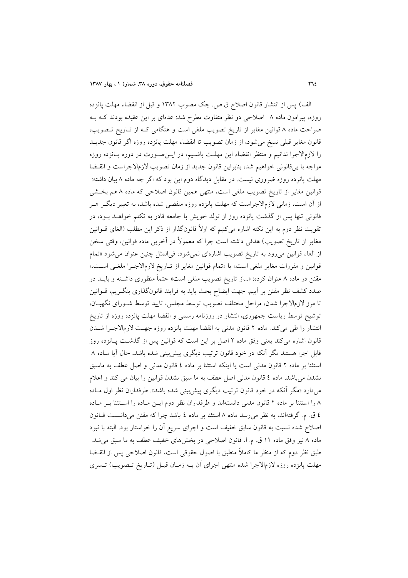الف) پس از انتشار قانون اصلاح ق.ص. چک مصوب ۱۳۸۲ و قبل از انقضاء مهلت پانزده روزه، پیرامون ماده ۸ اصلاحی دو نظر متفاوت مطرح شد: عدهای بر این عقیده بودند کـه بـه صراحت ماده ۸ قوانین مغایر از تاریخ تصویب ملغی است و هنگامی کـه از تـاریخ تـصویب، قانون مغاير قبلي نسخ مي شود، از زمان تصويب تا انقضاء مهلت پانزده روزه اگر قانون جديــد را لازمالاجرا ندانيم و منتظر انقضاء اين مهلـت باشـيم، در ايــنصــورت در دوره پــانزده روزه مواجه با بیقانونی خواهیم شد، بنابراین قانون جدید از زمان تصویب لازمالاجراست و انقسضا مهلت پانزده روزه ضروری نیست. در مقابل دیدگاه دوم این بود که اگر چه ماده ۸ بیان داشته: قوانین مغایر از تاریخ تصویب ملغی است، منتهی همین قانون اصلاحی که ماده ۸ هم بخشی از آن است، زمانی لازمالاجراست که مهلت پانزده روزه منقضی شده باشد، به تعبیر دیگـر هــر قانونی تنها پس از گذشت پانزده روز از تولد خویش با جامعه قادر به تکلم خواهـد بــود، در تقویت نظر دوم به این نکته اشاره میکنیم که اولاً قانونگذار از ذکر این مطلب (الغای قــوانین مغاير از تاريخ تصويب) هدفي داشته است چرا كه معمولاً در آخرين ماده قوانين، وقتي سخن از الغاء قوانین میرود به تاریخ تصویب اشارهای نمیشود، فیالمثل چنین عنوان میشود «تمام قوانين و مقررات مغاير ملغي است» يا «تمام قوانين مغاير از تـاريخ لازمالاجـرا ملغـي اسـت.» مقنن در ماده ۸ عنوان کرده: «...از تاریخ تصویب ملغی است» حتماً منظوری داشته و بایــد در صدد کشف نظر مقنن بر آییم. جهت ایضاح بحث باید به فرایند قانونگذاری بنگـریم، قــوانین تا مرز لازمالاجرا شدن، مراحل مختلف تصويب توسط مجلس، تاييد توسط شـوراي نگهبـان، توشیح توسط ریاست جمهوری، انتشار در روزنامه رسمی و انقضا مهلت پانزده روزه از تاریخ انتشار را طی می کند. ماده ۲ قانون مدنی به انقضا مهلت پانزده روزه جهت لازمالاجرا شدن قانون اشاره میکند یعنی وفق ماده ۲ اصل بر این است که قوانین پس از گذشــت پــانزده روز قابل اجرا هستند مگر آنکه در خود قانون ترتیب دیگری پیش بینی شده باشد، حال آیا مـاده ۸ استثنا بر ماده ۲ قانون مدنی است یا اینکه استثنا بر ماده ٤ قانون مدنی و اصل عطف به ماسبق نشدن می باشد. ماده ٤ قانون مدنی اصل عطف به ما سبق نشدن قوانین را بیان می کند و اعلام میدارد «مگر آنکه در خود قانون ترتیب دیگری پیش بینی شده باشد». طرفداران نظر اول مـاده ۸ را استثنا بر ماده ۲ قانون مدنی دانستهاند و طرفداران نظر دوم ایـن مـاده را اسـتثنا بـر مـاده ٤ ق. م. گرفتهاند، به نظر می رسد ماده ٨ استثنا بر ماده ٤ باشد چرا كه مقنن میدانست قبانون اصلاح شده نسبت به قانون سابق خفیف است و اجرای سریع آن را خواستار بود. البته با نبود ماده ۸ نیز وفق ماده ۱۱ ق. م. ا. قانون اصلاحی در بخشهای خفیف عطف به ما سبق میشد. طبق نظر دوم كه از منظر ما كاملاً منطبق با اصول حقوقی است، قانون اصلاحی پس از انقــضا مهلت پانزده روزه لازمالاجرا شده منتهى اجراى أن بــه زمـان قبــل (تــاريخ تــصويب) تــسرى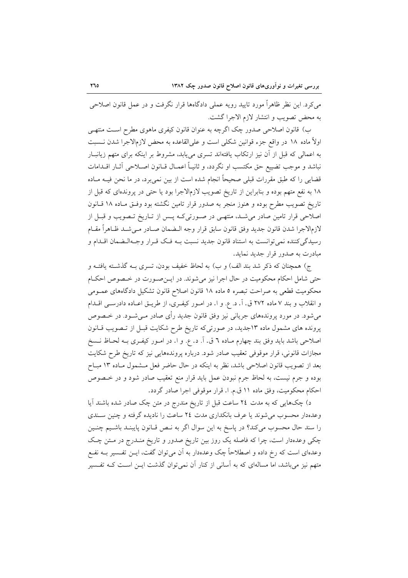می کرد. این نظر ظاهراً مورد تایید رویه عملی دادگاهها قرار نگرفت و در عمل قانون اصلاحی به محض تصويب و انتشار لازم الاجرا گشت.

ب) قانون اصلاحی صدور چک اگرچه به عنوان قانون کیفری ماهوی مطرح اسـت منتهـی اولاً ماده ۱۸ در واقع جزء قوانین شکلی است و علیالقاعده به محض لازمالاجرا شدن نــــــبت به اعمالی که قبل از آن نیز ارتکاب یافتهاند تسری مییابد، مشروط بر اینکه برای متهم زیانبـار نباشد و موجب تضییع حق مکتسب او نگردد، و ثانیـاً اعمـال قــانون اصــلاحی آثــار اقــدامات قضایی را که طبق مقررات قبلی صحیحاً انجام شده است از بین نمی برد، در ما نحن فیـه مـاده ۱۸ به نفع متهم بوده و بنابراین از تاریخ تصویب لازمالاجرا بود یا حتی در پروندهای که قبل از تاریخ تصویب مطرح بوده و هنوز منجر به صدور قرار تامین نگشته بود وفـق مـاده ۱۸ قــانون اصلاحی قرار تامین صادر می شـد، منتهـی در صـورتیکـه پـس از تـاریخ تـصویب و قبـل از لازمالاجرا شدن قانون جديد وفق قانون سابق قرار وجه الـضمان صـادر مـي شـد ظـاهراً مقـام رسیدگی کننده نمی توانست به استناد قانون جدید نسبت بـه فـک قـرار وجـهالـضمان اقـدام و مبادرت به صدور قرار جدید نماید.

ج) همچنان که ذکر شد بند الف) و ب) به لحاظ خفیف بودن، تسری بـه گذشـته یافتـه و حتی شامل احکام محکومیت در حال اجرا نیز میشوند. در این صورت در خصوص احکام محکومیت قطعی به صراحت تبصره ٥ ماده ١٨ قانون اصلاح قانون تشکیل دادگاههای عمـومی و انقلاب و بند ۷ ماده ۲۷۲ ق. آ. د. ع. و ا. در امـور کیفـری، از طریـق اعـاده دادرسـی اقــدام میشود. در مورد پروندههای جریانی نیز وفق قانون جدید رأی صادر مـیشـود. در خـصوص پرونده های مشمول ماده ۱۳جدید، در صورتی که تاریخ طرح شکایت قبـل از تـصویب قـانون اصلاحی باشد باید وفق بند چهارم مـاده ٦ ق. آ. د. ع. و ا. در امــور کیفــری بــه لحــاظ نــسخ مجازات قانونی، قرار موقوفی تعقیب صادر شود. درباره پروندههایی نیز که تاریخ طرح شکایت بعد از تصویب قانون اصلاحی باشد، نظر به اینکه در حال حاضر فعل مـشمول مـاده ۱۳ مبـاح بوده و جرم نیست، به لحاظ جرم نبودن عمل باید قرار منع تعقیب صادر شود و در خـصوص احكام محكوميت، وفق ماده ١١ ق.م. ا. قرار موقوفي اجرا صادر گردد.

د) چکهایی که به مدت ٢٤ ساعت قبل از تاریخ مندرج در متن چک صادر شده باشند آیا وعدهدار محسوب می شوند یا عرف بانکداری مدت ٢٤ ساعت را نادیده گرفته و چنین سـندی را سند حال محسوب میکند؟ در پاسخ به این سوال اگر به نـص قـانون پایبنـد باشـیم چنـین چکی وعدهدار است، چرا که فاصله یک روز بین تاریخ صدور و تاریخ منــدرج در مــتن چــک وعدمای است که رخ داده و اصطلاحاً چک وعدهدار به آن میٍتوان گفت، ایــن تفــسیر بــه نفــع متهم نیز میباشد، اما مسالهای که به آسانی از کنار آن نمیتوان گذشت ایــن اسـت کــه تفــسیر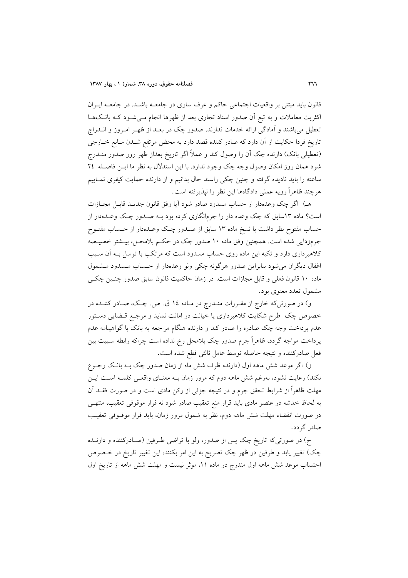قانون باید مبتنی بر واقعیات اجتماعی حاکم و عرف ساری در جامعـه باشـد. در جامعـه ایـران اکثریت معاملات و به تبع اّن صدور اسناد تجاری بعد از ظهرها انجام مـی شـود کـه بانـکـهـا تعطیل میباشند و آمادگی ارائه خدمات ندارند. صدور چک در بعـد از ظهـر امـروز و انــدراج تاریخ فردا حکایت از آن دارد که صادر کننده قصد دارد به محض مرتفع شـدن مـانع خـارجی (تعطیلی بانک) دارنده چک آن را وصول کند و عملاً اگر تاریخ بعداز ظهر روز صدور منــدرج شود همان روز امکان وصول وجه چک وجود ندارد. با این استدلال به نظر ما ایـن فاصـله ٢٤ ساعته را باید نادیده گرفته و چنین چکی راسند حال بدانیم و از دارنده حمایت کیفری نمـاییم هرجند ظاهراً رويه عملي دادگاهها اين نظر را نيذيرفته است.

هـ) اگر چک وعدهدار از حساب مسدود صادر شود آیا وفق قانون جدیـد قابـل مجــازات است؟ ماده ۱۳سابق که چک وعده دار را جرمانگاری کرده بود بـه صـدور چـک وعـدهدار از حساب مفتوح نظر داشت با نسخ ماده ١٣ سابق از صـدور چـک وعـدهدار از حـساب مفتــوح جرمزدایی شده است. همچنین وفق ماده ۱۰ صدور چک در حکـم بلامحـل، بیـشتر خصیـصه کلاهبرداری دارد و تکیه این ماده روی حساب مسدود است که مرتکب با توسل بـه آن سـبب اغفال ديگران مي شود بنابراين صدور هرگونه چكي ولو وعدهدار از حساب مـسدود مـشمول ماده ١٠ قانون فعلي و قابل مجازات است. در زمان حاكميت قانون سابق صدور چنسين چكي مشمول تعدد معنوی بود.

و) در صورتی که خارج از مقـررات منـدرج در مـاده ۱٤ ق. ص. چـک، صـادر کننـده در خصوص چک طرح شکایت کلاهبرداری یا خیانت در امانت نماید و مرجـع قـضایی دسـتور عدم پرداخت وجه چک صادره را صادر کند و دارنده هنگام مراجعه به بانک با گواهینامه عدم پرداخت مواجه گردد، ظاهراً جرم صدور چک بلامحل رخ نداده است چراکه رابطه سببیت بین فعل صادركننده و نتيجه حاصله توسط عامل ثالثي قطع شده است.

ز) اگر موعد شش ماهه اول (دارنده ظرف شش ماه از زمان صدور چک بـه بانـک رجــوع نکند) رعایت نشود، بهرغم شش ماهه دوم که مرور زمان بـه معنـای واقعـی کلمـه اسـت ایـن مهلت ظاهراً از شرایط تحقق جرم و در نتیجه جزئی از رکن مادی است و در صورت فقــد آن به لحاظ خدشه در عنصر مادي بايد قرار منع تعقيب صادر شود نه قرار موقوفي تعقيب، منتهـي در صورت انقضاء مهلت شش ماهه دوم، نظر به شمول مرور زمان، بايد قرار موقــوفى تعقيـب صادر گر دد.

ح) در صورتی که تاریخ چک پس از صدور، ولو با تراضی طـرفین (صـادرکننده و دارنــده چک) تغییر یابد و طرفین در ظهر چک تصریح به این امر بکنند، این تغییر تاریخ در خـصوص احتساب موعد شش ماهه اول مندرج در ماده ١١، موثر نيست و مهلت شش ماهه از تاريخ اول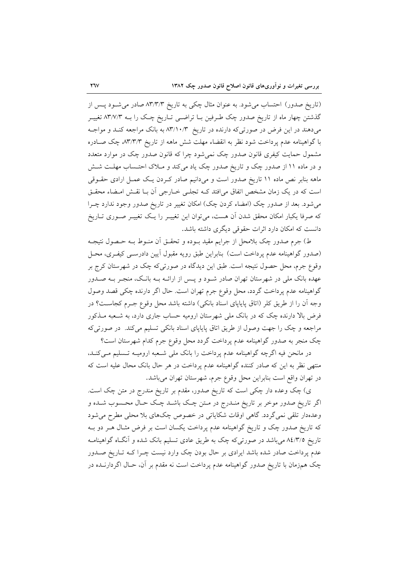(تاریخ صدور) احتساب می شود. به عنوان مثال چکی به تاریخ ۸۳/۳/۳ صادر می شـود پـس از گذشتن چهار ماه از تاریخ صدور چک طرفین بـا تراضـی تـاریخ چـک را بـه ۸۳/۷/۳ تغییـر میدهند در این فرض در صورتیکه دارنده در تاریخ ۸۳/۱۰/۳ به بانک مراجعه کند و مواجـه با گواهینامه عدم پرداخت شود نظر به انقضاء مهلت شش ماهه از تاریخ ۸۳٬۳/۳ چک صـادره مشمول حمایت کیفری قانون صدور چک نمیشود چرا که قانون صدور چک در موارد متعدد و در ماده ۱۱ از صدور چک و تاریخ صدور چک یاد میکند و ملاک احتـساب مهلـت شـش ماهه بنابر نص ماده ۱۱ تاریخ صدور است و میدانیم صادر کـردن یـک عمـل ارادی حقــوقی است که در یک زمان مشخص اتفاق می|فتد کـه تجلـی خـارجی آن بـا نقـش امـضاء محقـق میشود. بعد از صدور چک (امضاء کردن چک) امکان تغییر در تاریخ صدور وجود ندارد چـرا که صرفا یکبار امکان محقق شدن آن هست، میتوان این تغییـر را یـک تغییـر صـوری تــاریخ دانست که امکان دارد اثرات حقوقی دیگری داشته باشد.

ط) جرم صدور چک بلامحل از جرایم مقید بــوده و تحقــق أن منــوط بــه حــصول نتیجــه (صدور گواهینامه عدم پرداخت است) بنابراین طبق رویه مقبول آیین دادرسـی کیفـری، محـل وقوع جرم، محل حصول نتیجه است. طبق این دیدگاه در صورتی که چک در شهرستان کرج بر عهده بانک ملی در شهرستان تهران صادر شـود و پـس از ارائــه بــه بانــک، منجــر بــه صــدور گواهینامه عدم پرداخت گردد، محل وقوع جرم تهران است. حال اگر دارنده چکی قصد وصول وجه أن را از طريق كلر (اتاق پاياپاي اسناد بانكي) داشته باشد محل وقوع جـرم كجاسـت؟ در فرض بالا دارنده چک که در بانک ملی شهرستان ارومیه حساب جاری دارد، به شـعبه مــذکور مراجعه و چک را جهت وصول از طریق اتاق پایاپای اسناد بانکی تسلیم میکند. در صورتیکه چک منجر به صدور گواهینامه عدم پرداخت گردد محل وقوع جرم کدام شهرستان است؟

در مانحن فیه اگرچه گواهینامه عدم پرداخت را بانک ملی شـعبه ارومیـه تـسلیم مـیکنـد، منتهی نظر به این که صادر کننده گواهینامه عدم پرداخت در هر حال بانک محال علیه است که در تهران واقع است بنابراين محل وقوع جرم، شهرستان تهران مىباشد.

ی) چک وعده دار چکی است که تاریخ صدور، مقدم بر تاریخ مندرج در متن چک است. اگر تاریخ صدور موخر بر تاریخ منـدرج در مـتن چـک باشـد چـک حـال محـسوب شـده و وعدهدار تلقی نمی گردد. گاهی اوقات شکایاتی در خصوص چکهای بلا محلی مطرح می شود که تاریخ صدور چک و تاریخ گواهینامه عدم پرداخت یکسان است بر فرض مثـال هـر دو بـه تاریخ ۸٤/٣/٥ میباشد در صورتیکه چک به طریق عادی تسلیم بانک شده و آنگاه گواهینامـه عدم پرداخت صادر شده باشد ایرادی بر حال بودن چک وارد نیست چـرا کـه تـاریخ صـدور چک همزمان با تاریخ صدور گواهینامه عدم پرداخت است نه مقدم بر آن، حـال اگردارنــده در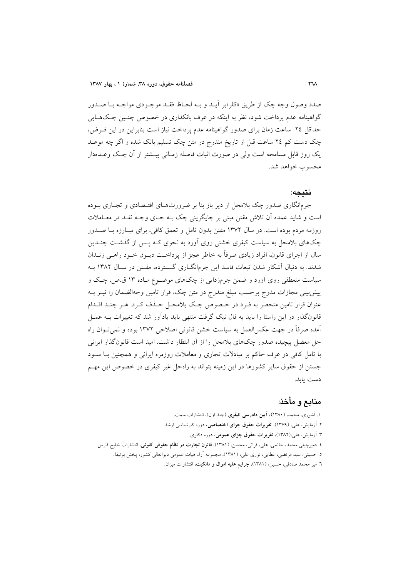صدد وصول وجه چک از طریق «کلر»بر آیــد و بــه لحــاظ فقــد موجــودي مواجــه بــا صــدور گواهینامه عدم یرداخت شود، نظر به اینکه در عرف بانکداری در خصوص چنسن چیکهبایی حداقل ٢٤ ساعت زمان براى صدور گواهينامه عدم پرداخت نياز است بنابراين در اين فـرض، چک دست کم ۲٤ ساعت قبل از تاریخ مندرج در متن چک تسلیم بانک شده و اگر چه موعـد یک روز قابل مسامحه است ولی در صورت اثبات فاصله زمـانی بیــشتر از آن چـک وعــدهدار محسوب خواهد شد.

#### نتىجە:

جرمانگاری صدور چک بلامحل از دیر باز بنا بر ضرورتهای اقتـصادی و تجـاری بـوده است و شاید عمده آن تلاش مقنن مبنی بر جایگزینی چک بـه جـای وجـه نقـد در معــاملات روزمه مردم بوده است. در سال ۱۳۷۲ مقنن بدون تامل و تعمق کافی، برای مبـارزه بــا صــدور چکهای بلامحل به سیاست کیفری خشنی روی آورد به نحوی کـه پــس از گذشــت چنــدین سال از اجرای قانون، افراد زیادی صرفاً به خاطر عجز از پرداخـت دیــون خــود راهــی زنــدان شدند. به دنبال آشکار شدن تبعات فاسد این جرمانگ(ری گسترده، مقــنن در ســال ۱۳۸۲ بــه سیاست منعطفی روی آورد و ضمن جرمزدایی از چکهای موضـوع مـاده ۱۳ ق.ص. چـک و پیش بینی مجازات مدرج برحسب مبلغ مندرج در متن چک، قرار تامین وجهالضمان را نیــز بــه عنوان قرار تامین منحصر به فـرد در خـصوص چـک بلامحـل حـذف کـرد. هـر چنـد اقـدام قانونگذار در این راستا را باید به فال نیک گرفت منتهی باید یادآور شد که تغییرات بـه عمـل اَمده صرفاً در جهت عکسالعمل به سیاست خشن قانونی اصلاحی ۱۳۷۲ بوده و نمیتـوان راه حل معضل پیچیده صدور چکهای بلامحل را از آن انتظار داشت. امید است قانونگذار ایرانی با تامل کافی در عرف حاکم بر مبادلات تجاری و معاملات روزمره ایرانی و همچنین بـا سـود جستن از حقوق سایر کشورها در این زمینه بتواند به راهحل غیر کیفری در خصوص این مهـم دست بابد.

# منابع و مأخذ:

۱. أشوری، محمد، (۱۳۸۰)، **آیین دادرسی کیفری (**جلد اول)، انتشارات سمت. ۲. آزمایش، علی، (۱۳۷۹)، **تقریرات حقوق جزای اختصاصی**، دوره کارشناسی ارشد. ۳. آزمایش، علی،(۱۳۸۲)، تقریرات حقوق جزای عمومی، دوره دکتری. ٤. دميرچيلي محمد، حاتمي، علي، قرائي، محسن، (١٣٨١)، **قانون تجارت در نظام حقوقي كنوني**، انتشارات خليج فارس. ٥. حسینی، سید مرتضی، عطایی، نوری علی، (١٣٨١)، مجموعه آراء هیات عمومی دیوانعالی کشور، یخش بوتیقا. ٦. مير محمد صادقي، حسين، (١٣٨١)، جرايم عليه اموال و مالكيت، انتشارات ميزان.